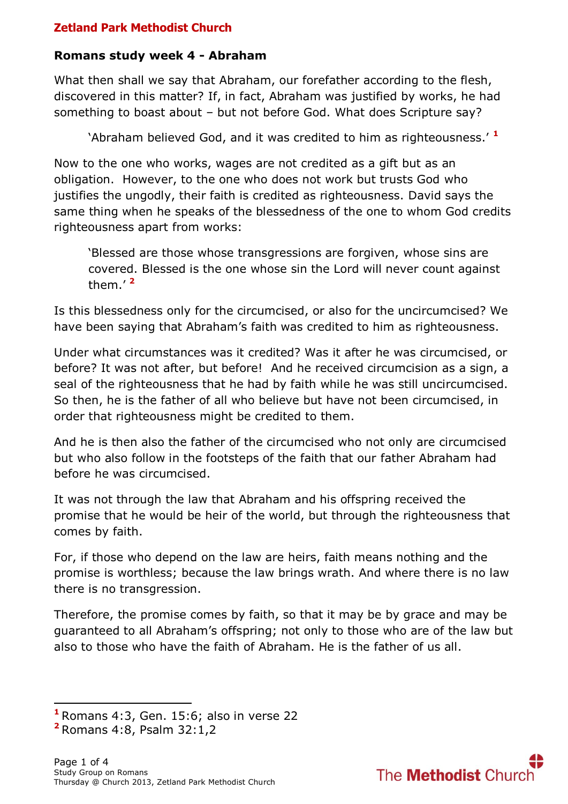### **Romans study week 4 - Abraham**

What then shall we say that Abraham, our forefather according to the flesh, discovered in this matter? If, in fact, Abraham was justified by works, he had something to boast about – but not before God. What does Scripture say?

'Abraham believed God, and it was credited to him as righteousness.' **<sup>1</sup>**

Now to the one who works, wages are not credited as a gift but as an obligation. However, to the one who does not work but trusts God who justifies the ungodly, their faith is credited as righteousness. David says the same thing when he speaks of the blessedness of the one to whom God credits righteousness apart from works:

'Blessed are those whose transgressions are forgiven, whose sins are covered. Blessed is the one whose sin the Lord will never count against them.' **<sup>2</sup>**

Is this blessedness only for the circumcised, or also for the uncircumcised? We have been saying that Abraham's faith was credited to him as righteousness.

Under what circumstances was it credited? Was it after he was circumcised, or before? It was not after, but before! And he received circumcision as a sign, a seal of the righteousness that he had by faith while he was still uncircumcised. So then, he is the father of all who believe but have not been circumcised, in order that righteousness might be credited to them.

And he is then also the father of the circumcised who not only are circumcised but who also follow in the footsteps of the faith that our father Abraham had before he was circumcised.

It was not through the law that Abraham and his offspring received the promise that he would be heir of the world, but through the righteousness that comes by faith.

For, if those who depend on the law are heirs, faith means nothing and the promise is worthless; because the law brings wrath. And where there is no law there is no transgression.

Therefore, the promise comes by faith, so that it may be by grace and may be guaranteed to all Abraham's offspring; not only to those who are of the law but also to those who have the faith of Abraham. He is the father of us all.

**<sup>1</sup>** Romans 4:3, Gen. 15:6; also in verse 22

**.** 



**<sup>2</sup>** Romans 4:8, Psalm 32:1,2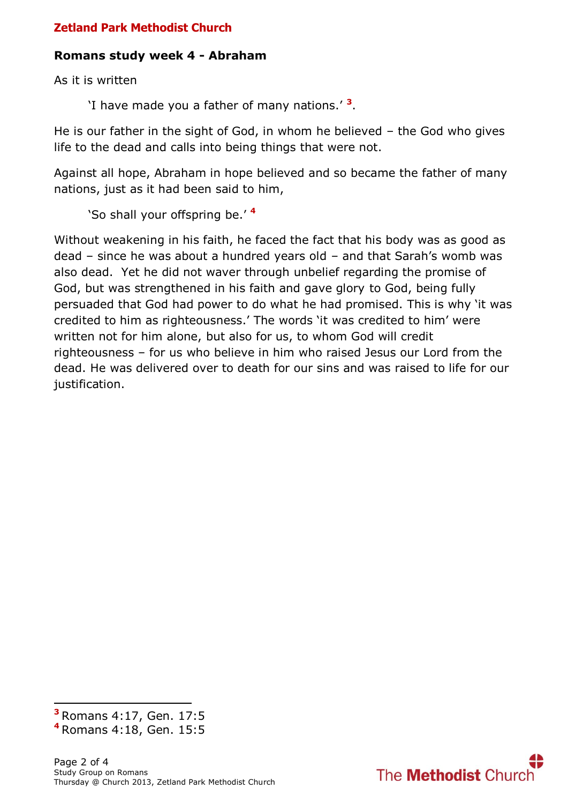### **Romans study week 4 - Abraham**

As it is written

'I have made you a father of many nations.' **<sup>3</sup>** .

He is our father in the sight of God, in whom he believed – the God who gives life to the dead and calls into being things that were not.

Against all hope, Abraham in hope believed and so became the father of many nations, just as it had been said to him,

'So shall your offspring be.' **<sup>4</sup>**

Without weakening in his faith, he faced the fact that his body was as good as dead – since he was about a hundred years old – and that Sarah's womb was also dead. Yet he did not waver through unbelief regarding the promise of God, but was strengthened in his faith and gave glory to God, being fully persuaded that God had power to do what he had promised. This is why 'it was credited to him as righteousness.' The words 'it was credited to him' were written not for him alone, but also for us, to whom God will credit righteousness – for us who believe in him who raised Jesus our Lord from the dead. He was delivered over to death for our sins and was raised to life for our justification.

**.** 



**<sup>3</sup>** Romans 4:17, Gen. 17:5

**<sup>4</sup>** Romans 4:18, Gen. 15:5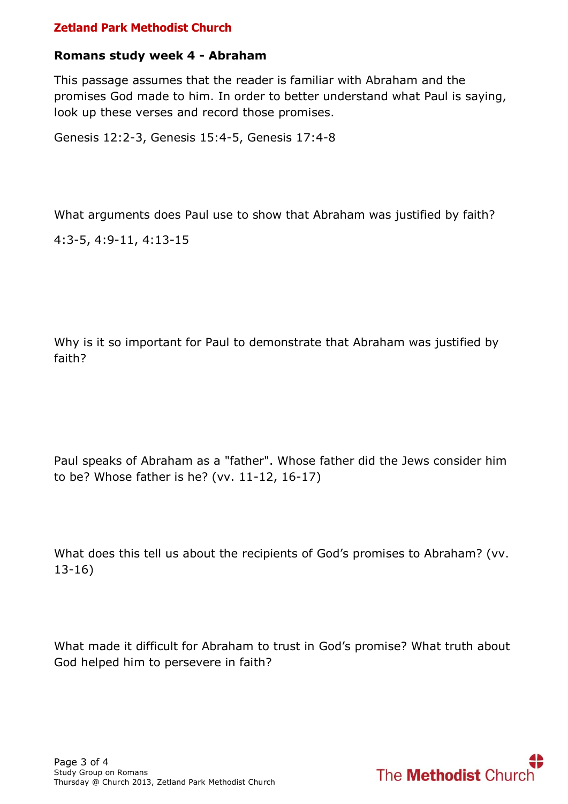### **Romans study week 4 - Abraham**

This passage assumes that the reader is familiar with Abraham and the promises God made to him. In order to better understand what Paul is saying, look up these verses and record those promises.

Genesis 12:2-3, Genesis 15:4-5, Genesis 17:4-8

What arguments does Paul use to show that Abraham was justified by faith?

4:3-5, 4:9-11, 4:13-15

Why is it so important for Paul to demonstrate that Abraham was justified by faith?

Paul speaks of Abraham as a "father". Whose father did the Jews consider him to be? Whose father is he? (vv. 11-12, 16-17)

What does this tell us about the recipients of God's promises to Abraham? (vv. 13-16)

What made it difficult for Abraham to trust in God's promise? What truth about God helped him to persevere in faith?